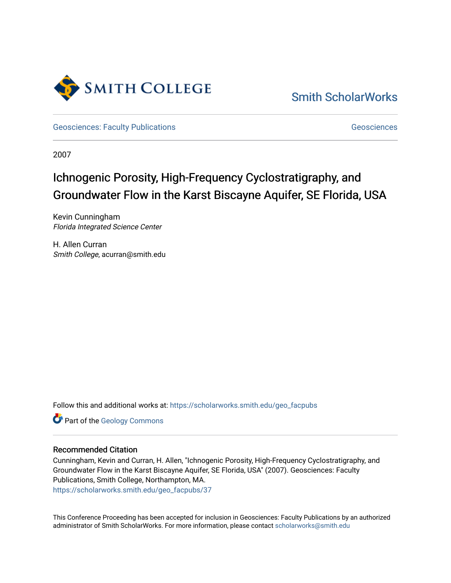

[Smith ScholarWorks](https://scholarworks.smith.edu/) 

[Geosciences: Faculty Publications](https://scholarworks.smith.edu/geo_facpubs) [Geosciences](https://scholarworks.smith.edu/geo) Geosciences

2007

## Ichnogenic Porosity, High-Frequency Cyclostratigraphy, and Groundwater Flow in the Karst Biscayne Aquifer, SE Florida, USA

Kevin Cunningham Florida Integrated Science Center

H. Allen Curran Smith College, acurran@smith.edu

Follow this and additional works at: [https://scholarworks.smith.edu/geo\\_facpubs](https://scholarworks.smith.edu/geo_facpubs?utm_source=scholarworks.smith.edu%2Fgeo_facpubs%2F37&utm_medium=PDF&utm_campaign=PDFCoverPages)

Part of the [Geology Commons](http://network.bepress.com/hgg/discipline/156?utm_source=scholarworks.smith.edu%2Fgeo_facpubs%2F37&utm_medium=PDF&utm_campaign=PDFCoverPages)

## Recommended Citation

Cunningham, Kevin and Curran, H. Allen, "Ichnogenic Porosity, High-Frequency Cyclostratigraphy, and Groundwater Flow in the Karst Biscayne Aquifer, SE Florida, USA" (2007). Geosciences: Faculty Publications, Smith College, Northampton, MA. [https://scholarworks.smith.edu/geo\\_facpubs/37](https://scholarworks.smith.edu/geo_facpubs/37?utm_source=scholarworks.smith.edu%2Fgeo_facpubs%2F37&utm_medium=PDF&utm_campaign=PDFCoverPages) 

This Conference Proceeding has been accepted for inclusion in Geosciences: Faculty Publications by an authorized administrator of Smith ScholarWorks. For more information, please contact [scholarworks@smith.edu](mailto:scholarworks@smith.edu)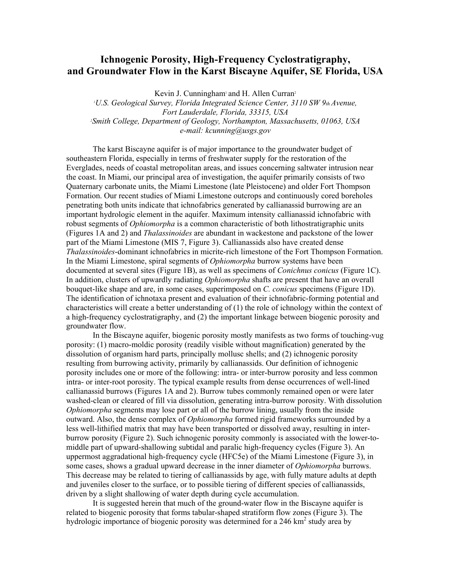## **Ichnogenic Porosity, High-Frequency Cyclostratigraphy, and Groundwater Flow in the Karst Biscayne Aquifer, SE Florida, USA**

Kevin J. Cunningham<sup>1</sup> and H. Allen Curran<sup>2</sup>

*1 U.S. Geological Survey, Florida Integrated Science Center, 3110 SW 9th Avenue, Fort Lauderdale, Florida, 33315, USA 2 Smith College, Department of Geology, Northampton, Massachusetts, 01063, USA e-mail: kcunning@usgs.gov*

The karst Biscayne aquifer is of major importance to the groundwater budget of southeastern Florida, especially in terms of freshwater supply for the restoration of the Everglades, needs of coastal metropolitan areas, and issues concerning saltwater intrusion near the coast. In Miami, our principal area of investigation, the aquifer primarily consists of two Quaternary carbonate units, the Miami Limestone (late Pleistocene) and older Fort Thompson Formation. Our recent studies of Miami Limestone outcrops and continuously cored boreholes penetrating both units indicate that ichnofabrics generated by callianassid burrowing are an important hydrologic element in the aquifer. Maximum intensity callianassid ichnofabric with robust segments of *Ophiomorpha* is a common characteristic of both lithostratigraphic units (Figures 1A and 2) and *Thalassinoides* are abundant in wackestone and packstone of the lower part of the Miami Limestone (MIS 7, Figure 3). Callianassids also have created dense *Thalassinoides*-dominant ichnofabrics in micrite-rich limestone of the Fort Thompson Formation. In the Miami Limestone, spiral segments of *Ophiomorpha* burrow systems have been documented at several sites (Figure 1B), as well as specimens of *Conichnus conicus* (Figure 1C). In addition, clusters of upwardly radiating *Ophiomorpha* shafts are present that have an overall bouquet-like shape and are, in some cases, superimposed on *C. conicus* specimens (Figure 1D). The identification of ichnotaxa present and evaluation of their ichnofabric-forming potential and characteristics will create a better understanding of (1) the role of ichnology within the context of a high-frequency cyclostratigraphy, and (2) the important linkage between biogenic porosity and groundwater flow.

In the Biscayne aquifer, biogenic porosity mostly manifests as two forms of touching-vug porosity: (1) macro-moldic porosity (readily visible without magnification) generated by the dissolution of organism hard parts, principally mollusc shells; and (2) ichnogenic porosity resulting from burrowing activity, primarily by callianassids. Our definition of ichnogenic porosity includes one or more of the following: intra- or inter-burrow porosity and less common intra- or inter-root porosity. The typical example results from dense occurrences of well-lined callianassid burrows (Figures 1A and 2). Burrow tubes commonly remained open or were later washed-clean or cleared of fill via dissolution, generating intra-burrow porosity. With dissolution *Ophiomorpha* segments may lose part or all of the burrow lining, usually from the inside outward. Also, the dense complex of *Ophiomorpha* formed rigid frameworks surrounded by a less well-lithified matrix that may have been transported or dissolved away, resulting in interburrow porosity (Figure 2). Such ichnogenic porosity commonly is associated with the lower-tomiddle part of upward-shallowing subtidal and paralic high-frequency cycles (Figure 3). An uppermost aggradational high-frequency cycle (HFC5e) of the Miami Limestone (Figure 3), in some cases, shows a gradual upward decrease in the inner diameter of *Ophiomorpha* burrows. This decrease may be related to tiering of callianassids by age, with fully mature adults at depth and juveniles closer to the surface, or to possible tiering of different species of callianassids, driven by a slight shallowing of water depth during cycle accumulation.

It is suggested herein that much of the ground-water flow in the Biscayne aquifer is related to biogenic porosity that forms tabular-shaped stratiform flow zones (Figure 3). The hydrologic importance of biogenic porosity was determined for a 246  $km^2$  study area by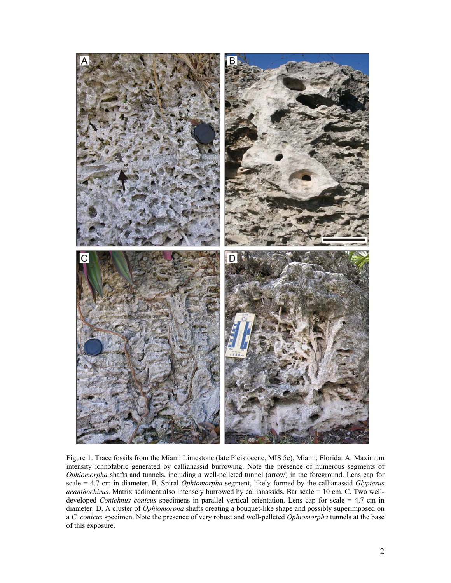

Figure 1. Trace fossils from the Miami Limestone (late Pleistocene, MIS 5e), Miami, Florida. A. Maximum intensity ichnofabric generated by callianassid burrowing. Note the presence of numerous segments of *Ophiomorpha* shafts and tunnels, including a well-pelleted tunnel (arrow) in the foreground. Lens cap for scale = 4.7 cm in diameter. B. Spiral *Ophiomorpha* segment, likely formed by the callianassid *Glypterus acanthochirus*. Matrix sediment also intensely burrowed by callianassids. Bar scale = 10 cm. C. Two welldeveloped *Conichnus conicus* specimens in parallel vertical orientation. Lens cap for scale = 4.7 cm in diameter. D. A cluster of *Ophiomorpha* shafts creating a bouquet-like shape and possibly superimposed on a *C. conicus* specimen. Note the presence of very robust and well-pelleted *Ophiomorpha* tunnels at the base of this exposure.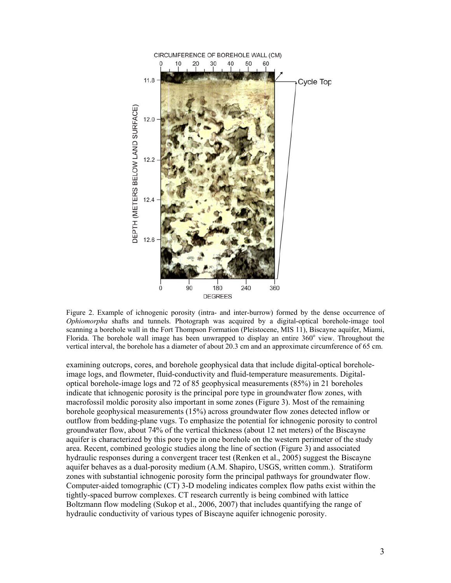

Figure 2. Example of ichnogenic porosity (intra- and inter-burrow) formed by the dense occurrence of *Ophiomorpha* shafts and tunnels. Photograph was acquired by a digital-optical borehole-image tool scanning a borehole wall in the Fort Thompson Formation (Pleistocene, MIS 11), Biscayne aquifer, Miami, Florida. The borehole wall image has been unwrapped to display an entire  $360^{\circ}$  view. Throughout the vertical interval, the borehole has a diameter of about 20.3 cm and an approximate circumference of 65 cm.

examining outcrops, cores, and borehole geophysical data that include digital-optical boreholeimage logs, and flowmeter, fluid-conductivity and fluid-temperature measurements. Digitaloptical borehole-image logs and 72 of 85 geophysical measurements (85%) in 21 boreholes indicate that ichnogenic porosity is the principal pore type in groundwater flow zones, with macrofossil moldic porosity also important in some zones (Figure 3). Most of the remaining borehole geophysical measurements (15%) across groundwater flow zones detected inflow or outflow from bedding-plane vugs. To emphasize the potential for ichnogenic porosity to control groundwater flow, about 74% of the vertical thickness (about 12 net meters) of the Biscayne aquifer is characterized by this pore type in one borehole on the western perimeter of the study area. Recent, combined geologic studies along the line of section (Figure 3) and associated hydraulic responses during a convergent tracer test (Renken et al., 2005) suggest the Biscayne aquifer behaves as a dual-porosity medium (A.M. Shapiro, USGS, written comm.). Stratiform zones with substantial ichnogenic porosity form the principal pathways for groundwater flow. Computer-aided tomographic (CT) 3-D modeling indicates complex flow paths exist within the tightly-spaced burrow complexes. CT research currently is being combined with lattice Boltzmann flow modeling (Sukop et al., 2006, 2007) that includes quantifying the range of hydraulic conductivity of various types of Biscayne aquifer ichnogenic porosity.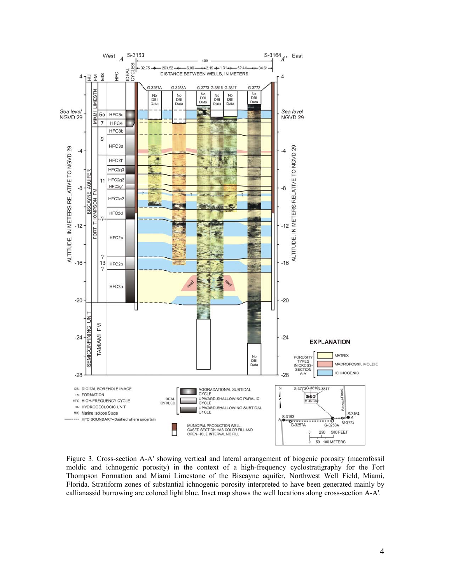

Figure 3. Cross-section A-A' showing vertical and lateral arrangement of biogenic porosity (macrofossil moldic and ichnogenic porosity) in the context of a high-frequency cyclostratigraphy for the Fort Thompson Formation and Miami Limestone of the Biscayne aquifer, Northwest Well Field, Miami, Florida. Stratiform zones of substantial ichnogenic porosity interpreted to have been generated mainly by callianassid burrowing are colored light blue. Inset map shows the well locations along cross-section A-A'.